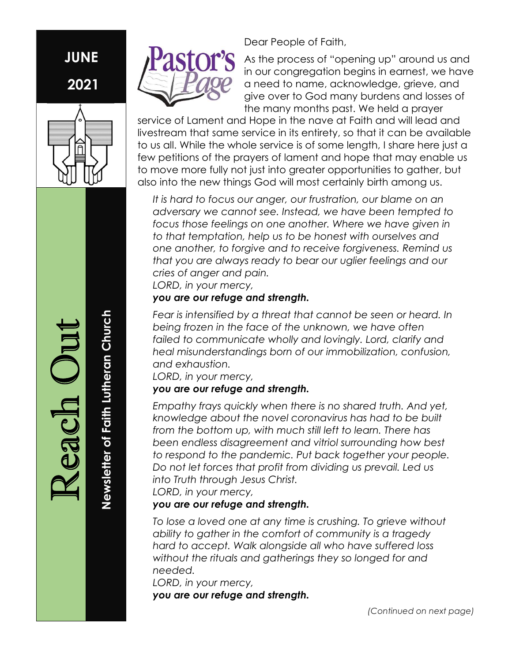# JUNE 2021



Dear People of Faith,

As the process of "opening up" around us and in our congregation begins in earnest, we have a need to name, acknowledge, grieve, and give over to God many burdens and losses of the many months past. We held a prayer

service of Lament and Hope in the nave at Faith and will lead and livestream that same service in its entirety, so that it can be available to us all. While the whole service is of some length, I share here just a few petitions of the prayers of lament and hope that may enable us to move more fully not just into greater opportunities to gather, but also into the new things God will most certainly birth among us.

It is hard to focus our anger, our frustration, our blame on an adversary we cannot see. Instead, we have been tempted to focus those feelings on one another. Where we have given in to that temptation, help us to be honest with ourselves and one another, to forgive and to receive forgiveness. Remind us that you are always ready to bear our uglier feelings and our cries of anger and pain.

LORD, in your mercy,

#### you are our refuge and strength.

Fear is intensified by a threat that cannot be seen or heard. In being frozen in the face of the unknown, we have often failed to communicate wholly and lovingly. Lord, clarify and heal misunderstandings born of our immobilization, confusion, and exhaustion.

LORD, in your mercy,

#### you are our refuge and strength.

Empathy frays quickly when there is no shared truth. And yet, knowledge about the novel coronavirus has had to be built from the bottom up, with much still left to learn. There has been endless disagreement and vitriol surrounding how best to respond to the pandemic. Put back together your people. Do not let forces that profit from dividing us prevail. Led us into Truth through Jesus Christ. LORD, in your mercy,

#### you are our refuge and strength.

To lose a loved one at any time is crushing. To grieve without ability to gather in the comfort of community is a tragedy hard to accept. Walk alongside all who have suffered loss without the rituals and gatherings they so longed for and needed.

LORD, in your mercy, you are our refuge and strength.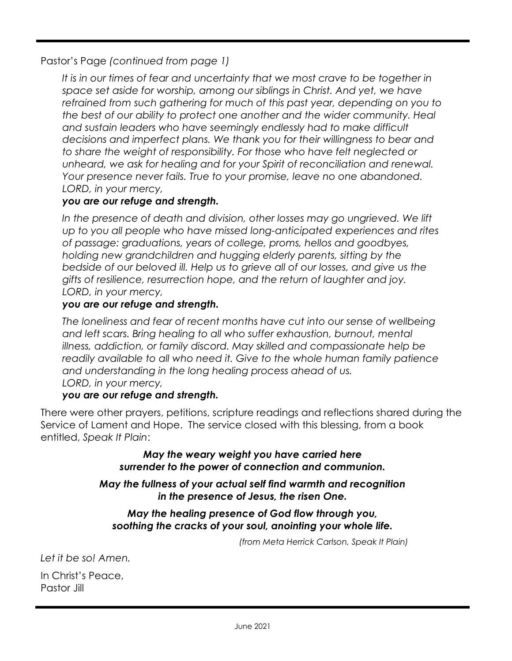Pastor's Page (continued from page 1)

It is in our times of fear and uncertainty that we most crave to be together in space set aside for worship, among our siblings in Christ. And yet, we have refrained from such gathering for much of this past year, depending on you to the best of our ability to protect one another and the wider community. Heal and sustain leaders who have seemingly endlessly had to make difficult decisions and imperfect plans. We thank you for their willingness to bear and to share the weight of responsibility. For those who have felt neglected or unheard, we ask for healing and for your Spirit of reconciliation and renewal. Your presence never fails. True to your promise, leave no one abandoned. LORD, in your mercy,

#### you are our refuge and strength.

In the presence of death and division, other losses may go ungrieved. We lift up to you all people who have missed long-anticipated experiences and rites of passage: graduations, years of college, proms, hellos and goodbyes, holding new grandchildren and hugging elderly parents, sitting by the bedside of our beloved ill. Help us to grieve all of our losses, and give us the gifts of resilience, resurrection hope, and the return of laughter and joy. LORD, in your mercy,

#### you are our refuge and strength.

The loneliness and fear of recent months have cut into our sense of wellbeing and left scars. Bring healing to all who suffer exhaustion, burnout, mental illness, addiction, or family discord. May skilled and compassionate help be readily available to all who need it. Give to the whole human family patience and understanding in the long healing process ahead of us. LORD, in your mercy,

#### you are our refuge and strength.

There were other prayers, petitions, scripture readings and reflections shared during the Service of Lament and Hope. The service closed with this blessing, from a book entitled, Speak It Plain:

> May the weary weight you have carried here surrender to the power of connection and communion.

#### May the fullness of your actual self find warmth and recognition in the presence of Jesus, the risen One.

#### May the healing presence of God flow through you, soothing the cracks of your soul, anointing your whole life.

(from Meta Herrick Carlson, Speak It Plain)

Let it be so! Amen.

In Christ's Peace, Pastor Jill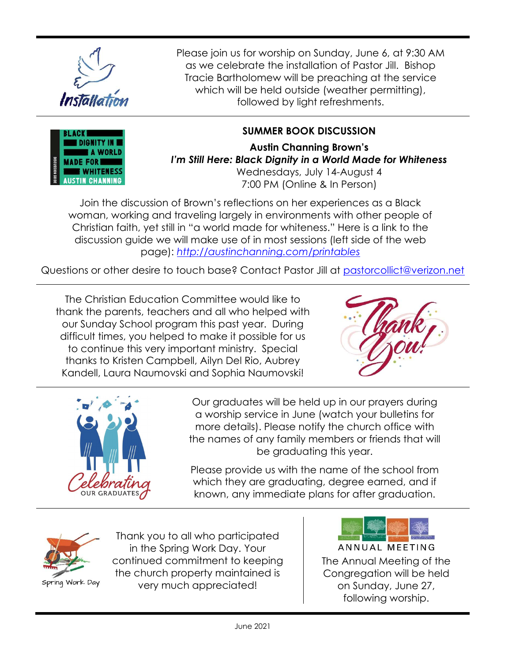

Please join us for worship on Sunday, June 6, at 9:30 AM as we celebrate the installation of Pastor Jill. Bishop Tracie Bartholomew will be preaching at the service which will be held outside (weather permitting), followed by light refreshments.

## SUMMER BOOK DISCUSSION

Austin Channing Brown's I'm Still Here: Black Dignity in a World Made for Whiteness Wednesdays, July 14-August 4 7:00 PM (Online & In Person)

Join the discussion of Brown's reflections on her experiences as a Black woman, working and traveling largely in environments with other people of Christian faith, yet still in "a world made for whiteness." Here is a link to the discussion guide we will make use of in most sessions (left side of the web page): http://austinchanning.com/printables

Questions or other desire to touch base? Contact Pastor Jill at pastorcollict@verizon.net

The Christian Education Committee would like to thank the parents, teachers and all who helped with our Sunday School program this past year. During difficult times, you helped to make it possible for us to continue this very important ministry. Special thanks to Kristen Campbell, Ailyn Del Rio, Aubrey Kandell, Laura Naumovski and Sophia Naumovski!





Our graduates will be held up in our prayers during a worship service in June (watch your bulletins for more details). Please notify the church office with the names of any family members or friends that will be graduating this year.

Please provide us with the name of the school from which they are graduating, degree earned, and if known, any immediate plans for after graduation.



Thank you to all who participated in the Spring Work Day. Your continued commitment to keeping the church property maintained is very much appreciated!

ANNUAL MEETING The Annual Meeting of the Congregation will be held on Sunday, June 27, following worship.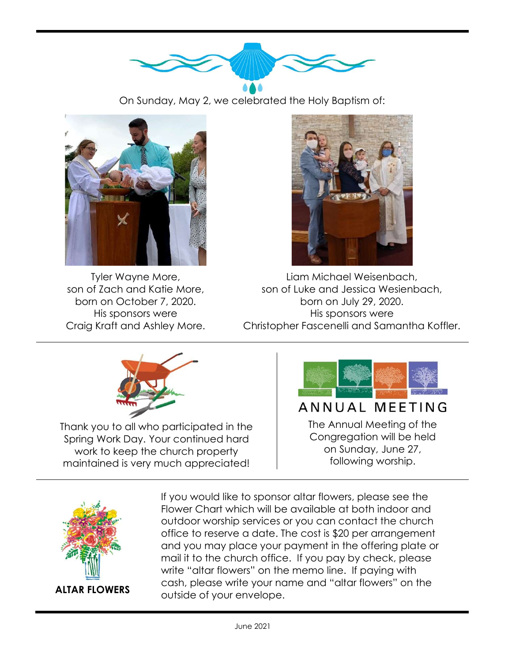

On Sunday, May 2, we celebrated the Holy Baptism of:



Tyler Wayne More, son of Zach and Katie More, born on October 7, 2020. His sponsors were Craig Kraft and Ashley More.



Liam Michael Weisenbach, son of Luke and Jessica Wesienbach, born on July 29, 2020. His sponsors were Christopher Fascenelli and Samantha Koffler.



Thank you to all who participated in the Spring Work Day. Your continued hard work to keep the church property maintained is very much appreciated!



# ANNUAL MEETING

The Annual Meeting of the Congregation will be held on Sunday, June 27, following worship.



If you would like to sponsor altar flowers, please see the Flower Chart which will be available at both indoor and outdoor worship services or you can contact the church office to reserve a date. The cost is \$20 per arrangement and you may place your payment in the offering plate or mail it to the church office. If you pay by check, please write "altar flowers" on the memo line. If paying with cash, please write your name and "altar flowers" on the outside of your envelope.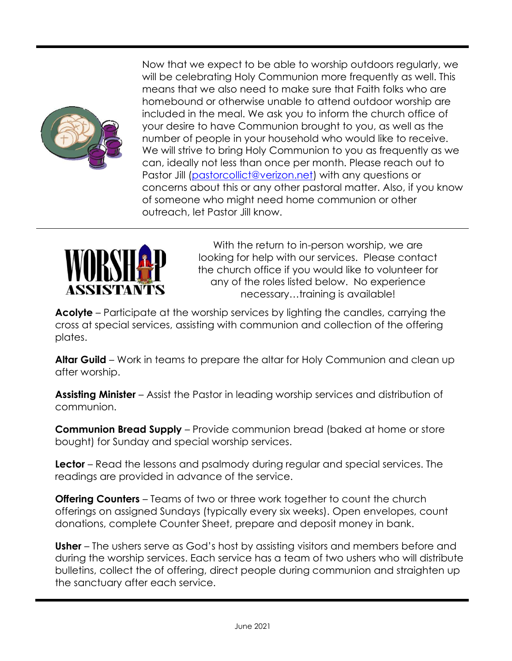

Now that we expect to be able to worship outdoors regularly, we will be celebrating Holy Communion more frequently as well. This means that we also need to make sure that Faith folks who are homebound or otherwise unable to attend outdoor worship are included in the meal. We ask you to inform the church office of your desire to have Communion brought to you, as well as the number of people in your household who would like to receive. We will strive to bring Holy Communion to you as frequently as we can, ideally not less than once per month. Please reach out to Pastor Jill (pastorcollict@verizon.net) with any questions or concerns about this or any other pastoral matter. Also, if you know of someone who might need home communion or other outreach, let Pastor Jill know.



With the return to in-person worship, we are looking for help with our services. Please contact the church office if you would like to volunteer for any of the roles listed below. No experience necessary…training is available!

Acolyte – Participate at the worship services by lighting the candles, carrying the cross at special services, assisting with communion and collection of the offering plates.

Altar Guild – Work in teams to prepare the altar for Holy Communion and clean up after worship.

Assisting Minister – Assist the Pastor in leading worship services and distribution of communion.

**Communion Bread Supply** – Provide communion bread (baked at home or store bought) for Sunday and special worship services.

**Lector** – Read the lessons and psalmody during regular and special services. The readings are provided in advance of the service.

**Offering Counters** – Teams of two or three work together to count the church offerings on assigned Sundays (typically every six weeks). Open envelopes, count donations, complete Counter Sheet, prepare and deposit money in bank.

Usher – The ushers serve as God's host by assisting visitors and members before and during the worship services. Each service has a team of two ushers who will distribute bulletins, collect the of offering, direct people during communion and straighten up the sanctuary after each service.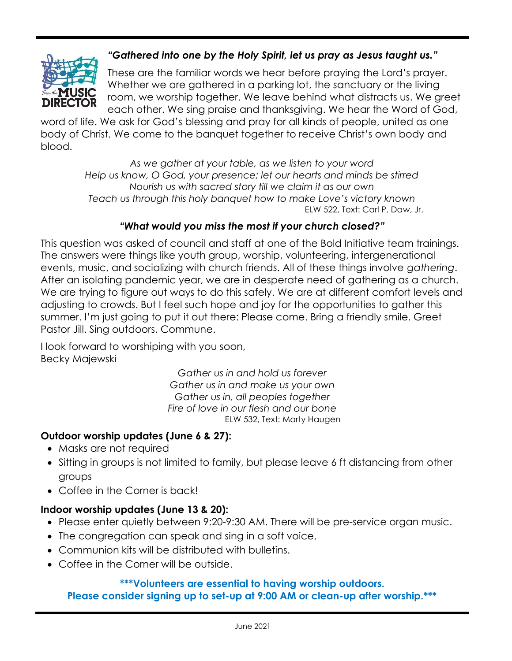

### "Gathered into one by the Holy Spirit, let us pray as Jesus taught us."

These are the familiar words we hear before praying the Lord's prayer. Whether we are gathered in a parking lot, the sanctuary or the living room, we worship together. We leave behind what distracts us. We greet each other. We sing praise and thanksgiving. We hear the Word of God,

word of life. We ask for God's blessing and pray for all kinds of people, united as one body of Christ. We come to the banquet together to receive Christ's own body and blood.

> As we gather at your table, as we listen to your word Help us know, O God, your presence; let our hearts and minds be stirred Nourish us with sacred story till we claim it as our own Teach us through this holy banquet how to make Love's victory known ELW 522, Text: Carl P. Daw, Jr.

#### "What would you miss the most if your church closed?"

This question was asked of council and staff at one of the Bold Initiative team trainings. The answers were things like youth group, worship, volunteering, intergenerational events, music, and socializing with church friends. All of these things involve gathering. After an isolating pandemic year, we are in desperate need of gathering as a church. We are trying to figure out ways to do this safely. We are at different comfort levels and adjusting to crowds. But I feel such hope and joy for the opportunities to gather this summer. I'm just going to put it out there: Please come. Bring a friendly smile. Greet Pastor Jill. Sing outdoors. Commune.

I look forward to worshiping with you soon, Becky Majewski

> Gather us in and hold us forever Gather us in and make us your own Gather us in, all peoples together Fire of love in our flesh and our bone ELW 532, Text: Marty Haugen

#### Outdoor worship updates (June 6 & 27):

- Masks are not required
- Sitting in groups is not limited to family, but please leave 6 ft distancing from other groups
- Coffee in the Corner is back!

#### Indoor worship updates (June 13 & 20):

- Please enter quietly between 9:20-9:30 AM. There will be pre-service organ music.
- The congregation can speak and sing in a soft voice.
- Communion kits will be distributed with bulletins.
- Coffee in the Corner will be outside.

#### \*\*\*Volunteers are essential to having worship outdoors.

Please consider signing up to set-up at 9:00 AM or clean-up after worship.\*\*\*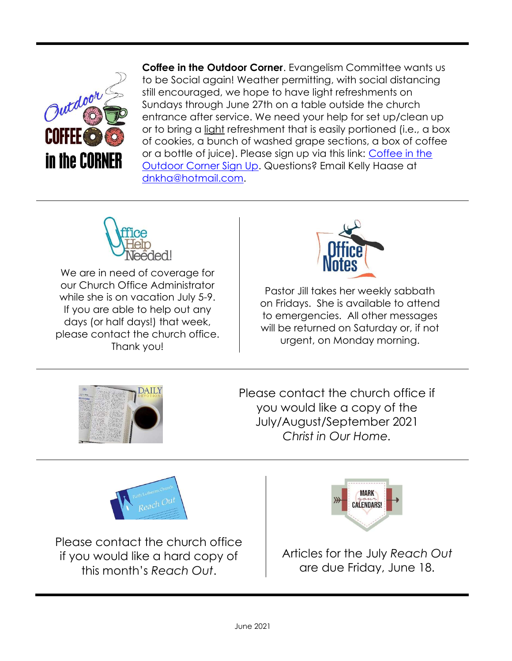

**Coffee in the Outdoor Corner.** Evangelism Committee wants us to be Social again! Weather permitting, with social distancing still encouraged, we hope to have light refreshments on Sundays through June 27th on a table outside the church entrance after service. We need your help for set up/clean up or to bring a light refreshment that is easily portioned (i.e., a box of cookies, a bunch of washed grape sections, a box of coffee or a bottle of juice). Please sign up via this link: Coffee in the Outdoor Corner Sign Up. Questions? Email Kelly Haase at dnkha@hotmail.com.



We are in need of coverage for our Church Office Administrator while she is on vacation July 5-9. If you are able to help out any days (or half days!) that week, please contact the church office. Thank you!



Pastor Jill takes her weekly sabbath on Fridays. She is available to attend to emergencies. All other messages will be returned on Saturday or, if not urgent, on Monday morning.



Please contact the church office if you would like a copy of the July/August/September 2021 Christ in Our Home.



Please contact the church office if you would like a hard copy of this month's Reach Out.



Articles for the July Reach Out are due Friday, June 18.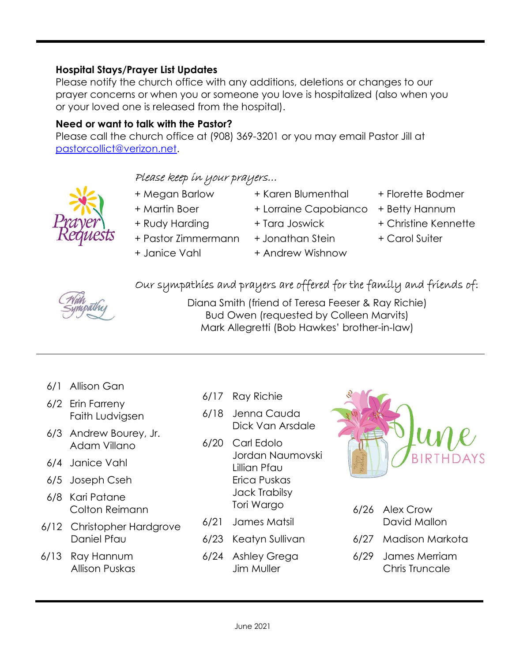Need or want to talk with the Pastor?

Hospital Stays/Prayer List Updates

Please call the church office at (908) 369-3201 or you may email Pastor Jill at pastorcollict@verizon.net.

Please notify the church office with any additions, deletions or changes to our prayer concerns or when you or someone you love is hospitalized (also when you

### Please keep in your prayers…

or your loved one is released from the hospital).

- 
- 
- + Pastor Zimmermann + Jonathan Stein + Carol Suiter
- + Janice Vahl + Andrew Wishnow
- 
- 
- 
- 
- + Megan Barlow + Karen Blumenthal + Florette Bodmer
- + Martin Boer + Lorraine Capobianco + Betty Hannum
- + Rudy Harding + Tara Joswick + Christine Kennette
	-

#### Our sympathies and prayers are offered for the family and friends of:



Diana Smith (friend of Teresa Feeser & Ray Richie) Bud Owen (requested by Colleen Marvits) Mark Allegretti (Bob Hawkes' brother-in-law)

- 6/1 Allison Gan
- 6/2 Erin Farreny Faith Ludvigsen
- 6/3 Andrew Bourey, Jr. Adam Villano
- 6/4 Janice Vahl
- 6/5 Joseph Cseh
- 6/8 Kari Patane Colton Reimann
- 6/12 Christopher Hardgrove Daniel Pfau
- 6/13 Ray Hannum Allison Puskas
- 6/17 Ray Richie
- 6/18 Jenna Cauda Dick Van Arsdale
- 6/20 Carl Edolo Jordan Naumovski Lillian Pfau Erica Puskas Jack Trabilsy Tori Wargo
- 6/21 James Matsil
- 6/23 Keatyn Sullivan
- 6/24 Ashley Grega Jim Muller

June 2021



| 6/26 Alex Crow<br>David Mallon |
|--------------------------------|
| 6/27 Madison Markota           |
| 6/29 James Merriam             |

Chris Truncale



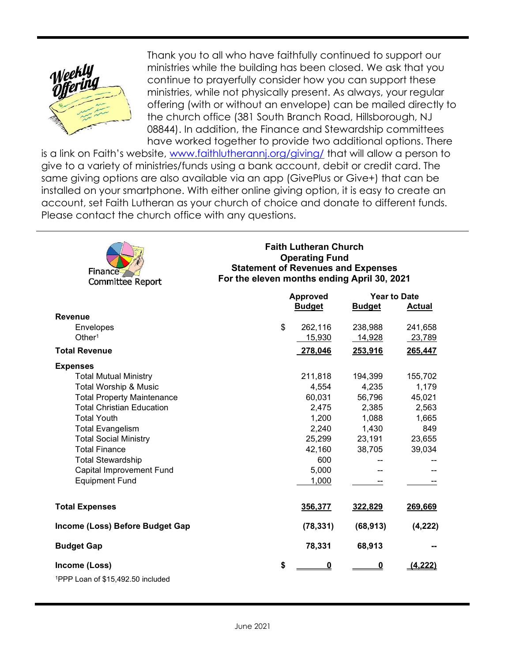

Thank you to all who have faithfully continued to support our ministries while the building has been closed. We ask that you continue to prayerfully consider how you can support these ministries, while not physically present. As always, your regular offering (with or without an envelope) can be mailed directly to the church office (381 South Branch Road, Hillsborough, NJ 08844). In addition, the Finance and Stewardship committees have worked together to provide two additional options. There

is a link on Faith's website, www.faithlutherannj.org/giving/ that will allow a person to give to a variety of ministries/funds using a bank account, debit or credit card. The same giving options are also available via an app (GivePlus or Give+) that can be installed on your smartphone. With either online giving option, it is easy to create an account, set Faith Lutheran as your church of choice and donate to different funds. Please contact the church office with any questions.



#### Faith Lutheran Church Operating Fund Statement of Revenues and Expenses For the eleven months ending April 30, 2021

|                                               | <b>Approved</b> | <b>Year to Date</b> |               |
|-----------------------------------------------|-----------------|---------------------|---------------|
|                                               | <b>Budget</b>   | <b>Budget</b>       | <b>Actual</b> |
| <b>Revenue</b>                                |                 |                     |               |
| <b>Envelopes</b>                              | \$<br>262,116   | 238,988             | 241,658       |
| Other <sup>1</sup>                            | 15,930          | 14,928              | 23,789        |
| <b>Total Revenue</b>                          | 278,046         | 253,916             | 265,447       |
| <b>Expenses</b>                               |                 |                     |               |
| <b>Total Mutual Ministry</b>                  | 211,818         | 194,399             | 155,702       |
| <b>Total Worship &amp; Music</b>              | 4,554           | 4,235               | 1,179         |
| <b>Total Property Maintenance</b>             | 60,031          | 56,796              | 45,021        |
| <b>Total Christian Education</b>              | 2,475           | 2,385               | 2,563         |
| <b>Total Youth</b>                            | 1,200           | 1,088               | 1,665         |
| <b>Total Evangelism</b>                       | 2,240           | 1,430               | 849           |
| <b>Total Social Ministry</b>                  | 25,299          | 23,191              | 23,655        |
| <b>Total Finance</b>                          | 42,160          | 38,705              | 39,034        |
| <b>Total Stewardship</b>                      | 600             |                     |               |
| Capital Improvement Fund                      | 5,000           |                     |               |
| <b>Equipment Fund</b>                         | 1,000           |                     |               |
| <b>Total Expenses</b>                         | 356,377         | 322,829             | 269,669       |
| Income (Loss) Before Budget Gap               | (78, 331)       | (68, 913)           | (4, 222)      |
| <b>Budget Gap</b>                             | 78,331          | 68,913              |               |
| Income (Loss)                                 | \$<br>0         | 0                   | (4, 222)      |
| <sup>1</sup> PPP Loan of \$15.492.50 included |                 |                     |               |